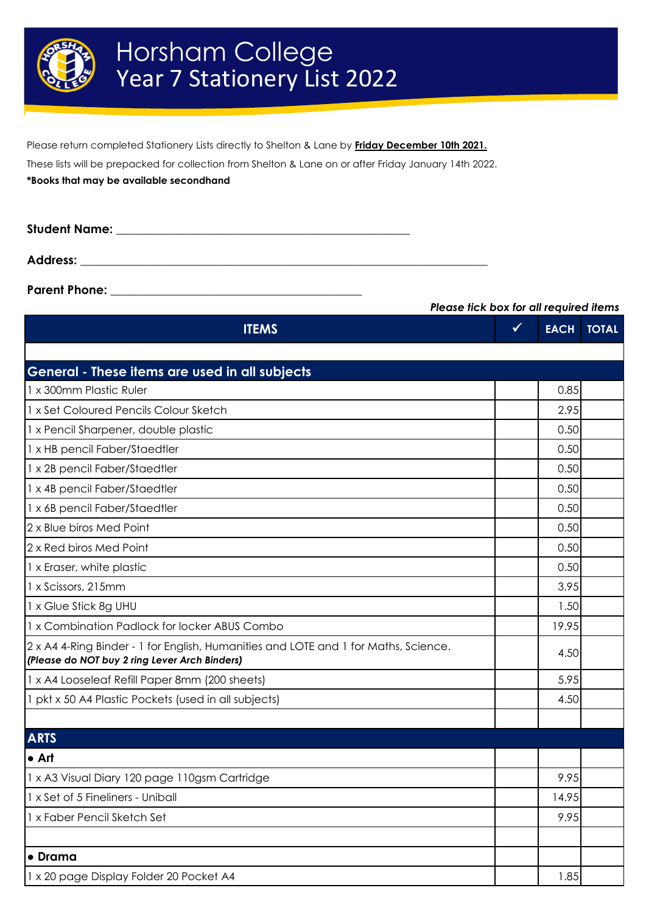

Please return completed Stationery Lists directly to Shelton & Lane by **Friday December 10th 2021.**

These lists will be prepacked for collection from Shelton & Lane on or after Friday January 14th 2022.

**\*Books that may be available secondhand**

**Student Name: \_\_\_\_\_\_\_\_\_\_\_\_\_\_\_\_\_\_\_\_\_\_\_\_\_\_\_\_\_\_\_\_\_\_\_\_\_\_\_\_\_\_\_\_\_\_\_\_\_ Address: \_\_\_\_\_\_\_\_\_\_\_\_\_\_\_\_\_\_\_\_\_\_\_\_\_\_\_\_\_\_\_\_\_\_\_\_\_\_\_\_\_\_\_\_\_\_\_\_\_\_\_\_\_\_\_\_\_\_\_\_\_\_\_\_\_\_\_\_**

**Parent Phone: \_\_\_\_\_\_\_\_\_\_\_\_\_\_\_\_\_\_\_\_\_\_\_\_\_\_\_\_\_\_\_\_\_\_\_\_\_\_\_\_\_\_**

| <b>ITEMS</b>                                                                                                                         | $\checkmark$ | <b>EACH</b> | <b>TOTAL</b> |
|--------------------------------------------------------------------------------------------------------------------------------------|--------------|-------------|--------------|
|                                                                                                                                      |              |             |              |
| General - These items are used in all subjects                                                                                       |              |             |              |
| 1 x 300mm Plastic Ruler                                                                                                              |              | 0.85        |              |
| 1 x Set Coloured Pencils Colour Sketch                                                                                               |              | 2.95        |              |
| 1 x Pencil Sharpener, double plastic                                                                                                 |              | 0.50        |              |
| 1 x HB pencil Faber/Staedtler                                                                                                        |              | 0.50        |              |
| 1 x 2B pencil Faber/Staedtler                                                                                                        |              | 0.50        |              |
| 1 x 4B pencil Faber/Staedtler                                                                                                        |              | 0.50        |              |
| 1 x 6B pencil Faber/Staedtler                                                                                                        |              | 0.50        |              |
| 2 x Blue biros Med Point                                                                                                             |              | 0.50        |              |
| 2 x Red biros Med Point                                                                                                              |              | 0.50        |              |
| 1 x Eraser, white plastic                                                                                                            |              | 0.50        |              |
| 1 x Scissors, 215mm                                                                                                                  |              | 3.95        |              |
| 1 x Glue Stick 8g UHU                                                                                                                |              | 1.50        |              |
| 1 x Combination Padlock for locker ABUS Combo                                                                                        |              | 19.95       |              |
| 2 x A4 4-Ring Binder - 1 for English, Humanities and LOTE and 1 for Maths, Science.<br>(Please do NOT buy 2 ring Lever Arch Binders) |              | 4.50        |              |
| 1 x A4 Looseleaf Refill Paper 8mm (200 sheets)                                                                                       |              | 5.95        |              |
| 1 pkt x 50 A4 Plastic Pockets (used in all subjects)                                                                                 |              | 4.50        |              |
| <b>ARTS</b>                                                                                                                          |              |             |              |
| $\bullet$ Art                                                                                                                        |              |             |              |
| 1 x A3 Visual Diary 120 page 110gsm Cartridge                                                                                        |              | 9.95        |              |
| 1 x Set of 5 Fineliners - Uniball                                                                                                    |              | 14.95       |              |
| 1 x Faber Pencil Sketch Set                                                                                                          |              | 9.95        |              |
|                                                                                                                                      |              |             |              |
| • Drama                                                                                                                              |              |             |              |
| 1 x 20 page Display Folder 20 Pocket A4                                                                                              |              | 1.85        |              |

*Please tick box for all required items*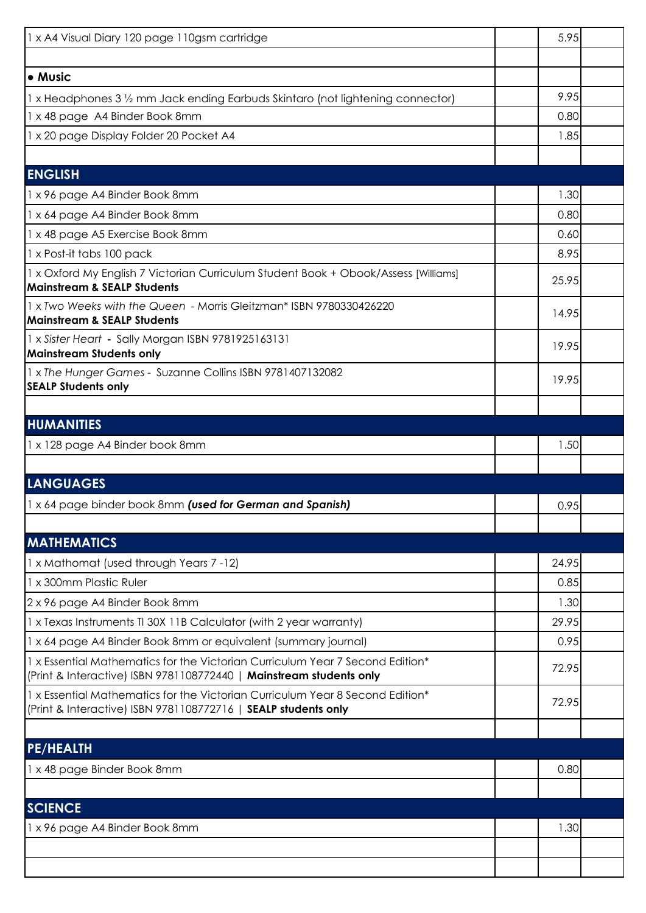| 1 x A4 Visual Diary 120 page 110gsm cartridge                                                                                                        | 5.95  |  |
|------------------------------------------------------------------------------------------------------------------------------------------------------|-------|--|
|                                                                                                                                                      |       |  |
| • Music                                                                                                                                              |       |  |
| 1 x Headphones 3 1/2 mm Jack ending Earbuds Skintaro (not lightening connector)                                                                      | 9.95  |  |
| 1 x 48 page A4 Binder Book 8mm                                                                                                                       | 0.80  |  |
| 1 x 20 page Display Folder 20 Pocket A4                                                                                                              | 1.85  |  |
|                                                                                                                                                      |       |  |
| <b>ENGLISH</b>                                                                                                                                       |       |  |
| 1 x 96 page A4 Binder Book 8mm                                                                                                                       | 1.30  |  |
| 1 x 64 page A4 Binder Book 8mm                                                                                                                       | 0.80  |  |
| 1 x 48 page A5 Exercise Book 8mm                                                                                                                     | 0.60  |  |
| 1 x Post-it tabs 100 pack                                                                                                                            | 8.95  |  |
| 1 x Oxford My English 7 Victorian Curriculum Student Book + Obook/Assess [Williams]<br><b>Mainstream &amp; SEALP Students</b>                        | 25.95 |  |
| 1 x Two Weeks with the Queen - Morris Gleitzman* ISBN 9780330426220<br><b>Mainstream &amp; SEALP Students</b>                                        | 14.95 |  |
| 1 x Sister Heart - Sally Morgan ISBN 9781925163131<br><b>Mainstream Students only</b>                                                                | 19.95 |  |
| 1 x The Hunger Games - Suzanne Collins ISBN 9781407132082<br><b>SEALP Students only</b>                                                              | 19.95 |  |
|                                                                                                                                                      |       |  |
| <b>HUMANITIES</b>                                                                                                                                    |       |  |
| 1 x 128 page A4 Binder book 8mm                                                                                                                      | 1.50  |  |
|                                                                                                                                                      |       |  |
| <b>LANGUAGES</b>                                                                                                                                     |       |  |
| 1 x 64 page binder book 8mm (used for German and Spanish)                                                                                            | 0.95  |  |
| <b>MATHEMATICS</b>                                                                                                                                   |       |  |
| 1 x Mathomat (used through Years 7 - 12)                                                                                                             | 24.95 |  |
| 1 x 300mm Plastic Ruler                                                                                                                              | 0.85  |  |
| 2 x 96 page A4 Binder Book 8mm                                                                                                                       | 1.30  |  |
| 1 x Texas Instruments TI 30X 11B Calculator (with 2 year warranty)                                                                                   | 29.95 |  |
| 1 x 64 page A4 Binder Book 8mm or equivalent (summary journal)                                                                                       | 0.95  |  |
| 1 x Essential Mathematics for the Victorian Curriculum Year 7 Second Edition*<br>(Print & Interactive) ISBN 9781108772440   Mainstream students only | 72.95 |  |
| 1 x Essential Mathematics for the Victorian Curriculum Year 8 Second Edition*<br>(Print & Interactive) ISBN 9781108772716   SEALP students only      | 72.95 |  |
|                                                                                                                                                      |       |  |
| <b>PE/HEALTH</b>                                                                                                                                     |       |  |
| 1 x 48 page Binder Book 8mm                                                                                                                          | 0.80  |  |
|                                                                                                                                                      |       |  |
| <b>SCIENCE</b>                                                                                                                                       |       |  |
| 1 x 96 page A4 Binder Book 8mm                                                                                                                       | 1.30  |  |
|                                                                                                                                                      |       |  |
|                                                                                                                                                      |       |  |